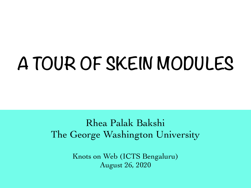# **A TOUR OF SKEIN MODULES**

Rhea Palak Bakshi The George Washington University

> Knots on Web (ICTS Bengaluru) August 26, 2020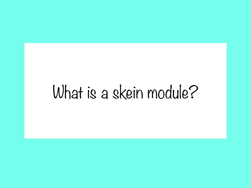## What is a skein module?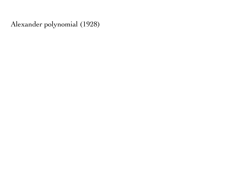Alexander polynomial (1928)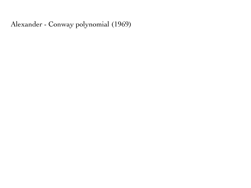Alexander - Conway polynomial (1969)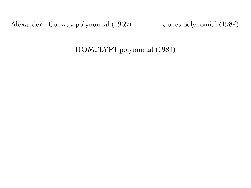HOMFLYPT polynomial (1984)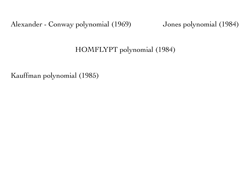### HOMFLYPT polynomial (1984)

Kauffman polynomial (1985)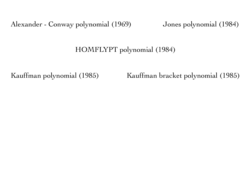#### HOMFLYPT polynomial (1984)

Kauffman polynomial (1985) Kauffman bracket polynomial (1985)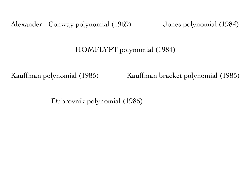### HOMFLYPT polynomial (1984)

Kauffman polynomial (1985) Kauffman bracket polynomial (1985)

Dubrovnik polynomial (1985)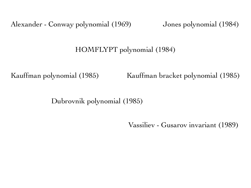#### HOMFLYPT polynomial (1984)

Kauffman polynomial (1985) Kauffman bracket polynomial (1985)

Dubrovnik polynomial (1985)

Vassiliev - Gusarov invariant (1989)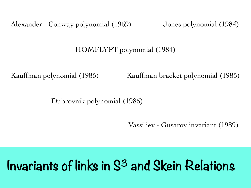### HOMFLYPT polynomial (1984)

Kauffman polynomial (1985) Kauffman bracket polynomial (1985)

Dubrovnik polynomial (1985)

Vassiliev - Gusarov invariant (1989)

### **Invariants of links in S3 and Skein Relations**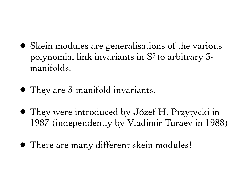- Skein modules are generalisations of the various polynomial link invariants in  $S<sup>3</sup>$  to arbitrary  $3$ manifolds.
- They are 3-manifold invariants.
- They were introduced by Józef H. Przytycki in 1987 (independently by Vladimir Turaev in 1988)
- There are many different skein modules!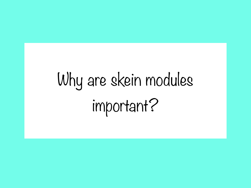# Why are skein modules important?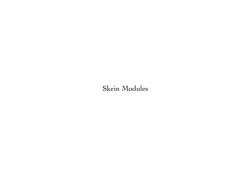#### Skein Modules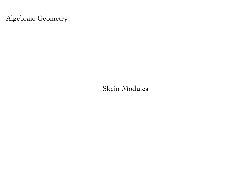### Algebraic Geometry

#### Skein Modules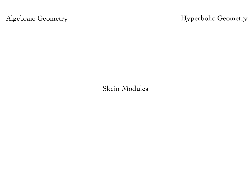#### Skein Modules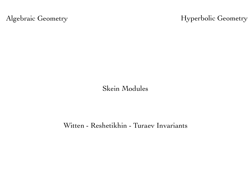#### Skein Modules

#### Witten - Reshetikhin - Turaev Invariants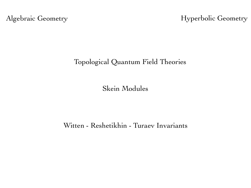#### Topological Quantum Field Theories

Skein Modules

Witten - Reshetikhin - Turaev Invariants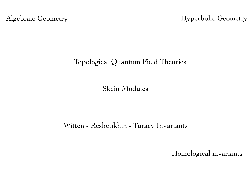#### Topological Quantum Field Theories

Skein Modules

#### Witten - Reshetikhin - Turaev Invariants

Homological invariants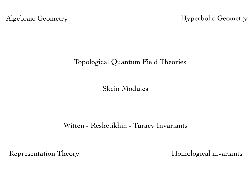#### Topological Quantum Field Theories

Skein Modules

#### Witten - Reshetikhin - Turaev Invariants

Representation Theory **Homological invariants**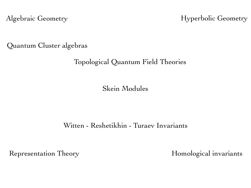Quantum Cluster algebras

#### Topological Quantum Field Theories

Skein Modules

Witten - Reshetikhin - Turaev Invariants

Representation Theory **Homological invariants**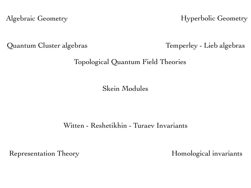Quantum Cluster algebras

Temperley - Lieb algebras

#### Topological Quantum Field Theories

Skein Modules

Witten - Reshetikhin - Turaev Invariants

Representation Theory **Homological invariants**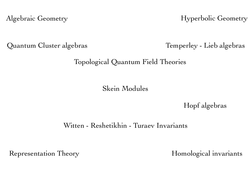Quantum Cluster algebras

Temperley - Lieb algebras

#### Topological Quantum Field Theories

Skein Modules

Hopf algebras

Witten - Reshetikhin - Turaev Invariants

Representation Theory

Homological invariants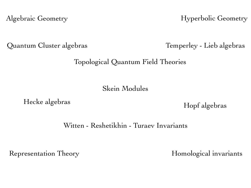Quantum Cluster algebras

Temperley - Lieb algebras

#### Topological Quantum Field Theories

Skein Modules

Hecke algebras Hopf algebras

Witten - Reshetikhin - Turaev Invariants

Representation Theory

Homological invariants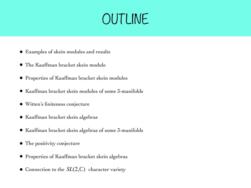### OUTLINE

- Examples of skein modules and results
- The Kauffman bracket skein module
- Properties of Kauffman bracket skein modules
- Kauffman bracket skein modules of some 3-manifolds
- Witten's finiteness conjecture
- Kauffman bracket skein algebras
- Kauffman bracket skein algebras of some 3-manifolds
- The positivity conjecture
- Properties of Kauffman bracket skein algebras
- Connection to the  $SL(2,\mathbb{C})$  character variety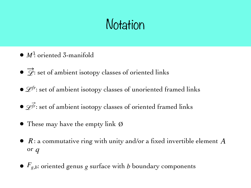### **Notation**

- $\bullet$  *M*<sup>3</sup> oriented 3-manifold
- $\bullet$   $\overrightarrow{\mathscr{L}}$ : set of ambient isotopy classes of oriented links
- $\bullet$   $\mathcal{L}^{fr}$ : set of ambient isotopy classes of unoriented framed links
- $\bullet$   $\overrightarrow{\mathcal{L}}$ *fr*: set of ambient isotopy classes of oriented framed links
- These may have the empty link Ø
- $\bullet$   $R$ : a commutative ring with unity and/or a fixed invertible element  $A$ or *q*
- $\bullet$   $F_{g,b}$  coriented genus  $g$  surface with  $b$  boundary components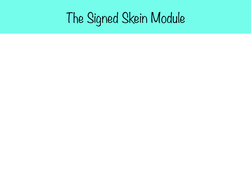## The Signed Skein Module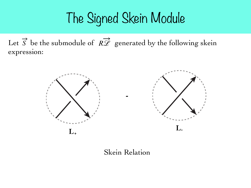### The Signed Skein Module

Let S be the submodule of  $R\mathcal{L}$  generated by the following skein expression:



#### Skein Relation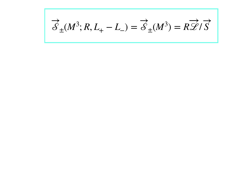$S_{\pm}(M^3; R, L_{+} - L_{-}) = S_{\pm}(M^3) = R\hat{\mathscr{L}}/S$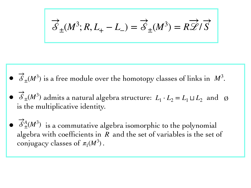$S_{\pm}(M^3; R, L_{+} - L_{-}) = S_{\pm}(M^3) = R\hat{\mathscr{L}}/S$ 

- $\vec{\delta}_{\pm}(M^3)$  is a free module over the homotopy classes of links in  $M^3$ .
- $\overrightarrow{\delta}_{\pm}(M^3)$  admits a natural algebra structure:  $L_1 \cdot L_2 = L_1 \sqcup L_2$  and  $\emptyset$ is the multiplicative identity.
- $\delta^A_{\pm}(M^3)$  is a commutative algebra isomorphic to the polynomial algebra with coefficients in  $R$  and the set of variables is the set of conjugacy classes of  $\pi_1(M^3)$ .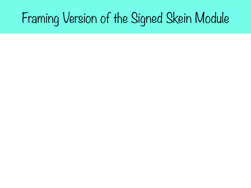### Framing Version of the Signed Skein Module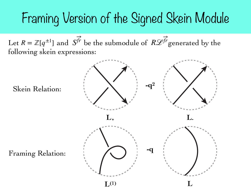### Framing Version of the Signed Skein Module

Let  $R = \mathbb{Z}[q^{\pm 1}]$  and  $S^{fr}$  be the submodule of  $R\mathcal{L}^{fr}$  generated by the following skein expressions:

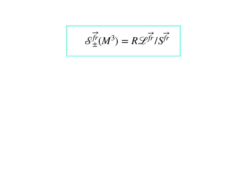$S_{\pm}^{fr}(M^3) = R\mathcal{L}^{fr}/S^{fr}$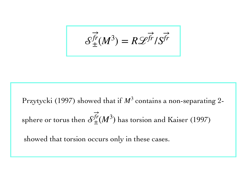$$
\overrightarrow{\mathcal{S}_{\pm}^{fr}}(M^3) = R\overrightarrow{\mathcal{L}^{fr}}/S^{\overrightarrow{fr}}
$$

Przytycki (1997) showed that if  $M^3$  contains a non-separating 2sphere or torus then  ${\mathcal S}_{\pm}^{fr}(M^3)$  has torsion and Kaiser (1997)

showed that torsion occurs only in these cases.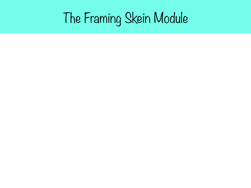### The Framing Skein Module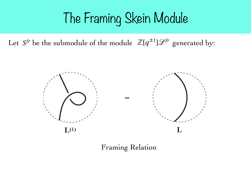### The Framing Skein Module

Let  $S^{fr}$  be the submodule of the module  $\mathbb{Z}[q^{\pm 1}]\mathscr{L}^{fr}$  generated by:



Framing Relation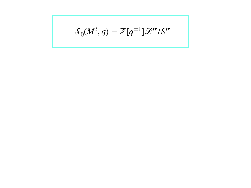$\mathcal{S}_0(M^3,q)=\mathbb{Z}[q^{\pm 1}]\mathcal{L}^{fr}/S^{fr}$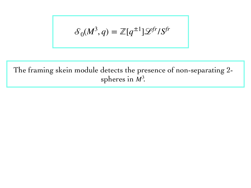$$
\mathcal{S}_0(M^3,q)=\mathbb{Z}[q^{\pm 1}]\mathcal{L}^{fr}/S^{fr}
$$

spheres in  $M^3$ . The framing skein module detects the presence of non-separating 2-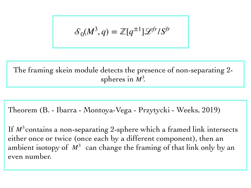$$
\mathcal{S}_0(M^3, q) = \mathbb{Z}[q^{\pm 1}] \mathcal{L}^{fr}/S^{fr}
$$

spheres in  $M^3$ . The framing skein module detects the presence of non-separating 2-

Theorem (B. - Ibarra - Montoya-Vega - Przytycki - Weeks, 2019)

ambient isotopy of  $M^3$  can change the framing of that link only by an If  $M^3$  contains a non-separating 2-sphere which a framed link intersects either once or twice (once each by a different component), then an even number.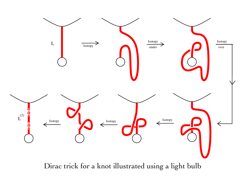

Dirac trick for a knot illustrated using a light bulb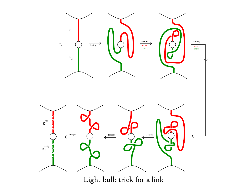

Light bulb trick for a link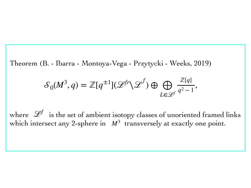Theorem (B. - Ibarra - Montoya-Vega - Przytycki - Weeks, 2019)

$$
\mathcal{S}_0(M^3, q) = \mathbb{Z}[q^{\pm 1}](\mathscr{L}^{fr} \setminus \mathscr{L}^f) \oplus \bigoplus_{L \in \mathscr{L}^f} \frac{\mathbb{Z}[q]}{q^2 - 1},
$$

where  $\,\mathscr{L}^f\,$  is the set of ambient isotopy classes of unoriented framed links which intersect any 2-sphere in  $M^3$  transversely at exactly one point.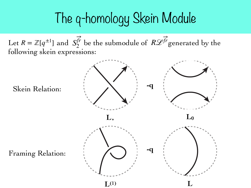## The q-homology Skein Module

Let  $R = \mathbb{Z}[q^{\pm 1}]$  and  $S_2^{fr}$  be the submodule of  $R\mathcal{L}^{fr}$  generated by the following skein expressions:

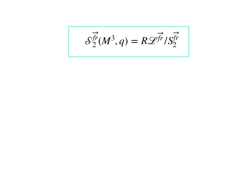$\overrightarrow{\mathcal{S}_2^{fr}}(M^3, q) = R\overrightarrow{\mathcal{L}^{fr}}/S_2^{\overrightarrow{fr}}$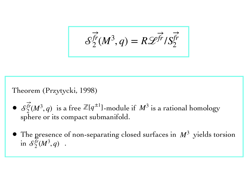$S_2^{fr}(M^3, q) = R\mathcal{L}^{fr}/S_2^{fr}$ 2

Theorem (Przytycki, 1998)

- $S_2^{\overrightarrow{fr}}(M^3, q)$  is a free  $\mathbb{Z}[q^{\pm 1}]$ -module if  $M^3$  is a rational homology sphere or its compact submanifold.
- The presence of non-separating closed surfaces in  $M^3$  yields torsion in  ${\mathcal S}_2^{fr}(M^3,q)$  .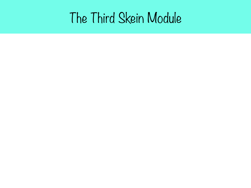#### The Third Skein Module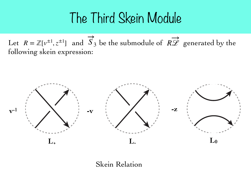### The Third Skein Module

Let  $R = \mathbb{Z}[v^{\pm 1}, z^{\pm 1}]$  and  $S_3$  be the submodule of  $R\mathcal{L}$  generated by the following skein expression:



Skein Relation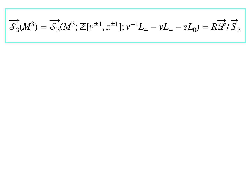$$
\overrightarrow{S_3}(M^3) = \overrightarrow{S_3}(M^3; \mathbb{Z}[v^{\pm 1}, z^{\pm 1}]; v^{-1}L_+ - vL_- - zL_0) = R\overrightarrow{\mathcal{L}}/\overrightarrow{S_3}
$$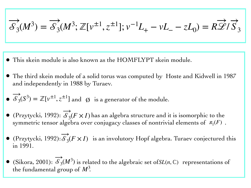$$
\overrightarrow{S_3}(M^3) = \overrightarrow{S_3}(M^3; \mathbb{Z}[v^{\pm 1}, z^{\pm 1}]; v^{-1}L_+ - vL_- - zL_0) = R\overrightarrow{\mathcal{L}}/\overrightarrow{S_3}
$$

- This skein module is also known as the HOMFLYPT skein module.
- The third skein module of a solid torus was computed by Hoste and Kidwell in 1987 and independently in 1988 by Turaev.
- $\overline{\mathcal{S}_3}(S^3) = \mathbb{Z}[v^{\pm 1}, z^{\pm 1}]$  and  $\emptyset$  is a generator of the module.
- (Przytycki, 1992):  $\overline{S_3}(F \times I)$  has an algebra structure and it is isomorphic to the symmetric tensor algebra over conjugacy classes of nontrivial elements of  $\pi_1(F)$  .
- (Przytycki, 1992):  $\overline{\mathcal{S}_3}(F \times I)$  is an involutory Hopf algebra. Turaev conjectured this in 1991.
- (Sikora, 2001):  $\overline{\mathcal{S}_3}(M^3)$  is related to the algebraic set of  $SL(n, \mathbb{C})$  representations of the fundamental group of  $M^3$ .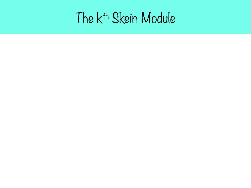### The k<sup>th</sup> Skein Module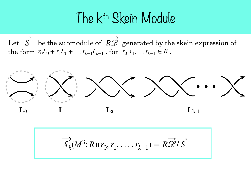#### The k<sup>th</sup> Skein Module

Let  $S$  be the submodule of  $R\mathcal{L}$  generated by the skein expression of the form  $r_0L_0 + r_1L_1 + ... + r_{k-1}L_{k-1}$ , for  $r_0, r_1, ... + r_{k-1} \in R$ .



$$
\overrightarrow{\mathcal{S}_k}(M^3;R)(r_0,r_1,\ldots,r_{k-1})=\overrightarrow{R\mathcal{L}}/\overrightarrow{S}
$$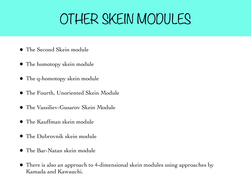## OTHER SKEIN MODULES

- The Second Skein module
- The homotopy skein module
- The q-homotopy skein module
- The Fourth, Unoriented Skein Module
- The Vassiliev-Gusarov Skein Module
- The Kauffman skein module
- The Dubrovnik skein module
- The Bar-Natan skein module
- There is also an approach to 4-dimensional skein modules using approaches by Kamada and Kawauchi.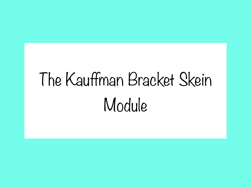## The Kauffman Bracket Skein Module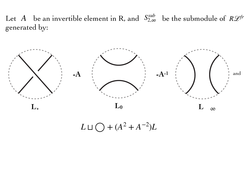Let A be an invertible element in R, and  $S_{2,\infty}^{sub}$  be the submodule of  $R\mathcal{L}^{fr}$ generated by:



 $L \sqcup \bigcirc + (A^2 + A^{-2})L$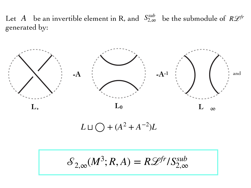Let A be an invertible element in R, and  $S_{2,\infty}^{sub}$  be the submodule of  $R\mathcal{L}^{fr}$ generated by:

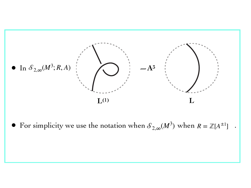

For simplicity we use the notation when  $S_{2,\infty}(M^3)$  when  $R = \mathbb{Z}[A^{\pm 1}]$ .  $\bullet$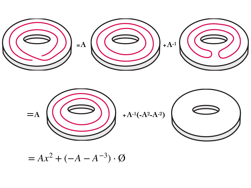



 $= Ax^{2} + (-A - A^{-3}) \cdot \emptyset$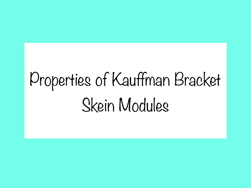# Properties of Kauffman Bracket Skein Modules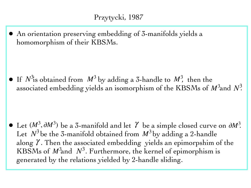• An orientation preserving embedding of 3-manifolds yields a homomorphism of their KBSMs.

• If  $N^3$  *N*<sup>3</sup> is obtained from  $M^3$  by adding a 3-handle to  $M^3$ , then the associated embedding yields an isomorphism of the KBSMs of  $M^3$ and  $N^3$ .

• Let  $(M^3, \partial M^3)$  be a 3-manifold and let  $\gamma$  be a simple closed curve on  $\partial M^3$ . Let  $N^3$  be the 3-manifold obtained from  $M^3$  by adding a 2-handle along *Y*. Then the associated embedding yields an epimorpshim of the KBSMs of  $M^3$  and  $N^3$ . Furthermore, the kernel of epimorphism is generated by the relations yielded by 2-handle sliding.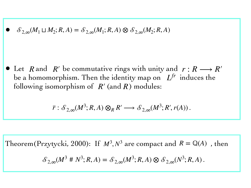•  $S_{2,\infty}(M_1 \sqcup M_2; R, A) = S_{2,\infty}(M_1; R, A) \otimes S_{2,\infty}(M_2; R, A)$ 

• Let R and R' be commutative rings with unity and  $r : R \longrightarrow R'$ be a homomorphism. Then the identity map on  $\ L^{fr}$  induces the following isomorphism of  $R'$  (and  $R$ ) modules:

$$
\overline{r}: \mathcal{S}_{2,\infty}(M^3; R, A) \otimes_R R' \longrightarrow \mathcal{S}_{2,\infty}(M^3; R', r(A)).
$$

Theorem(Przytycki, 2000): If  $M^3$ ,  $N^3$  are compact and  $R = \mathbb{Q}(A)$ , then  $S_{2,\infty}(M^3 \# N^3; R, A) = S_{2,\infty}(M^3; R, A) \otimes S_{2,\infty}(N^3; R, A)$ .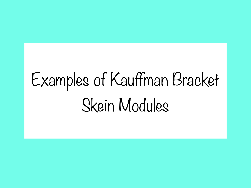## Examples of Kauffman Bracket Skein Modules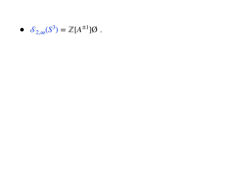•  $S_{2,\infty}(S^3) = \mathbb{Z}[A^{\pm 1}]\emptyset$ .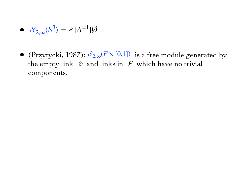- $S_{2,\infty}(S^3) = \mathbb{Z}[A^{\pm 1}]\emptyset$ .
- (Przytycki, 1987):  $\mathcal{S}_{2,\infty}(F \times [0,1])$  is a free module generated by the empty link  $\emptyset$  and links in  $F$  which have no trivial components.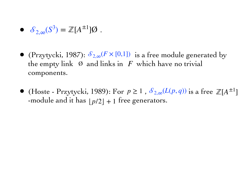•  $S_{2,\infty}(S^3) = \mathbb{Z}[A^{\pm 1}]\emptyset$ .

- (Przytycki, 1987):  $\mathcal{S}_{2,\infty}(F \times [0,1])$  is a free module generated by the empty link  $\emptyset$  and links in  $F$  which have no trivial components.
- (Hoste Przytycki, 1989): For  $p \ge 1$ ,  $\mathcal{S}_{2,\infty}(L(p,q))$  is a free  $\mathbb{Z}[A^{\pm 1}]$ -module and it has  $\lfloor p/2 \rfloor + 1$  free generators.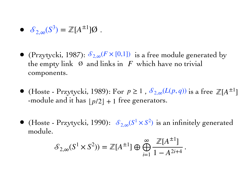• 
$$
\mathcal{S}_{2,\infty}(S^3) = \mathbb{Z}[A^{\pm 1}]\emptyset
$$
.

- (Przytycki, 1987):  $\mathcal{S}_{2,\infty}(F \times [0,1])$  is a free module generated by the empty link  $\emptyset$  and links in  $F$  which have no trivial components.
- (Hoste Przytycki, 1989): For  $p \ge 1$ ,  $\mathcal{S}_{2,\infty}(L(p,q))$  is a free  $\mathbb{Z}[A^{\pm 1}]$ -module and it has  $\lfloor p/2 \rfloor + 1$  free generators.
- (Hoste Przytycki, 1990):  $S_{2,\infty}(S^1 \times S^2)$  is an infinitely generated module.

$$
\mathcal{S}_{2,\infty}(S^1\times S^2))=\mathbb{Z}[A^{\pm 1}]\oplus\bigoplus_{i=1}^{\infty}\frac{\mathbb{Z}[A^{\pm 1}]}{1-A^{2i+4}}\,.
$$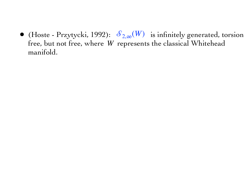• (Hoste - Przytycki, 1992):  $\mathcal{S}_{2,\infty}(W)$  is infinitely generated, torsion free, but not free, where W represents the classical Whitehead manifold.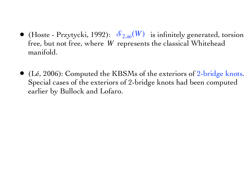- (Hoste Przytycki, 1992):  $\mathcal{S}_{2,\infty}(W)$  is infinitely generated, torsion free, but not free, where W represents the classical Whitehead manifold.
- (Lé, 2006): Computed the KBSMs of the exteriors of 2-bridge knots. Special cases of the exteriors of 2-bridge knots had been computed earlier by Bullock and Lofaro.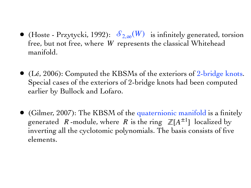- (Hoste Przytycki, 1992):  $\mathcal{S}_{2,\infty}(W)$  is infinitely generated, torsion free, but not free, where W represents the classical Whitehead manifold.
- (Lé, 2006): Computed the KBSMs of the exteriors of 2-bridge knots. Special cases of the exteriors of 2-bridge knots had been computed earlier by Bullock and Lofaro.
- (Gilmer, 2007): The KBSM of the quaternionic manifold is a finitely generated R-module, where R is the ring  $\mathbb{Z}[A^{\pm 1}]$  localized by inverting all the cyclotomic polynomials. The basis consists of five elements.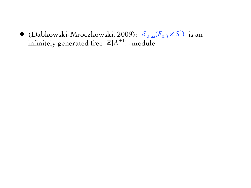• (Dabkowski-Mroczkowski, 2009):  $S_{2,\infty}(F_{0,3} \times S^1)$  is an infinitely generated free  $\mathbb{Z}[A^{\pm 1}]$  -module.  $S_{2,\infty}(F_{0,3}\times S^1)$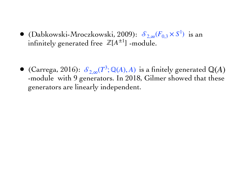- (Dabkowski-Mroczkowski, 2009):  $S_{2,\infty}(F_{0,3} \times S^1)$  is an infinitely generated free  $\mathbb{Z}[A^{\pm 1}]$  -module.
- (Carrega, 2016):  $S_{2,\infty}(T^3; \mathbb{Q}(A), A)$  is a finitely generated  $\mathbb{Q}(A)$ -module with 9 generators. In 2018, Gilmer showed that these generators are linearly independent.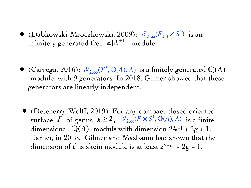- (Dabkowski-Mroczkowski, 2009):  $S_{2,\infty}(F_{0,3} \times S^1)$  is an infinitely generated free  $\mathbb{Z}[A^{\pm 1}]$  -module.
- (Carrega, 2016):  $S_{2,\infty}(T^3; \mathbb{Q}(A), A)$  is a finitely generated  $\mathbb{Q}(A)$ -module with 9 generators. In 2018, Gilmer showed that these generators are linearly independent.
- (Detcherry-Wolff, 2019): For any compact closed oriented surface  $\overrightarrow{F}$  of genus  $g \geq 2$ ,  $\mathcal{S}_{2,\infty}(\overrightarrow{F} \times S^1; \mathbb{Q}(A), A)$  is a finite dimensional  $\mathbb{Q}(A)$  -module with dimension  $2^{2g+1}$  +  $2g + 1$ . Earlier, in 2018, Gilmer and Masbaum had shown that the dimension of this skein module is at least  $2^{2g+1}$  +  $2g + 1$ .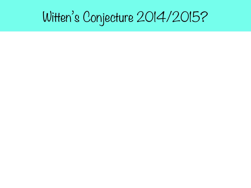## Witten's Conjecture 2014/2015?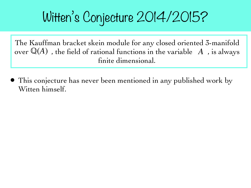The Kauffman bracket skein module for any closed oriented 3-manifold over  $\mathbb{Q}(A)$  , the field of rational functions in the variable  $|A|$  , is always finite dimensional.

This conjecture has never been mentioned in any published work by Witten himself.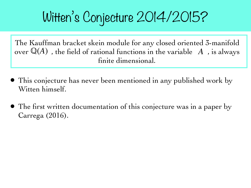- This conjecture has never been mentioned in any published work by Witten himself.
- The first written documentation of this conjecture was in a paper by Carrega (2016).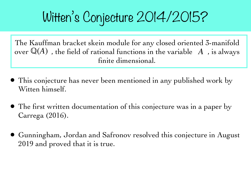- This conjecture has never been mentioned in any published work by Witten himself.
- The first written documentation of this conjecture was in a paper by Carrega (2016).
- Gunningham, Jordan and Safronov resolved this conjecture in August 2019 and proved that it is true.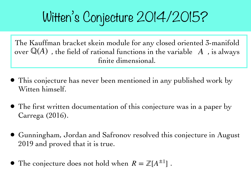- This conjecture has never been mentioned in any published work by Witten himself.
- The first written documentation of this conjecture was in a paper by Carrega (2016).
- Gunningham, Jordan and Safronov resolved this conjecture in August 2019 and proved that it is true.
- The conjecture does not hold when  $R = \mathbb{Z}[A^{\pm 1}]$ .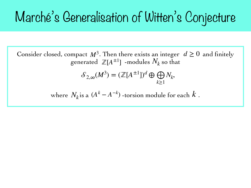Consider closed, compact  $M^3$ . Then there exists an integer  $d \ge 0$  and finitely generated  $\mathbb{Z}[A^{\pm 1}]$  -modules  $N_k$  so that

$$
\mathcal{S}_{2,\infty}(M^3) = (\mathbb{Z}[A^{\pm 1}])^d \oplus \bigoplus_{k \ge 1} N_k,
$$

where  $N_k$  is a  $(A^k - A^{-k})$  -torsion module for each  $k$  .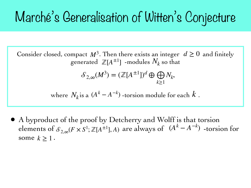Consider closed, compact  $M^3$ . Then there exists an integer  $d \ge 0$  and finitely generated  $\mathbb{Z}[A^{\pm 1}]$  -modules  $N_k$  so that

$$
\mathcal{S}_{2,\infty}(M^3) = (\mathbb{Z}[A^{\pm 1}])^d \oplus \bigoplus_{k \ge 1} N_k,
$$

where  $N_k$  is a  $(A^k - A^{-k})$  -torsion module for each  $k$  .

• A byproduct of the proof by Detcherry and Wolff is that torsion elements of  $S_{2,\infty}(F \times S^1; \mathbb{Z}[A^{\pm 1}], A)$  are always of  $(A^k - A^{-k})$  -torsion for some  $k \geq 1$ .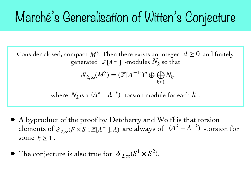Consider closed, compact  $M^3$ . Then there exists an integer  $d \ge 0$  and finitely generated  $\mathbb{Z}[A^{\pm 1}]$  -modules  $N_k$  so that

$$
\mathcal{S}_{2,\infty}(M^3) = (\mathbb{Z}[A^{\pm 1}])^d \oplus \bigoplus_{k \ge 1} N_k,
$$

where  $N_k$  is a  $(A^k - A^{-k})$  -torsion module for each  $k$  .

- A byproduct of the proof by Detcherry and Wolff is that torsion elements of  $S_{2,\infty}(F \times S^1; \mathbb{Z}[A^{\pm 1}], A)$  are always of  $(A^k - A^{-k})$  -torsion for some  $k \geq 1$ .
- The conjecture is also true for  $S_{2,\infty}(S^1 \times S^2)$ .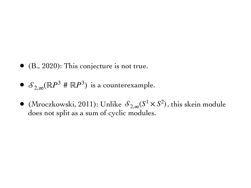- (B., 2020): This conjecture is not true.
- $S_{2,\infty}(\mathbb{R}P^3 \# \mathbb{R}P^3)$  is a counterexample.
- (Mroczkowski, 2011): Unlike  $S_{2,\infty}(S^1 \times S^2)$ , this skein module does not split as a sum of cyclic modules.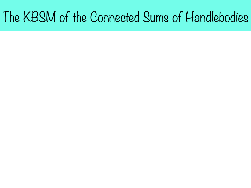### The KBSM of the Connected Sums of Handlebodies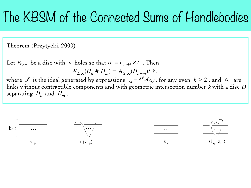#### The KBSM of the Connected Sums of Handlebodies

Theorem (Przytycki, 2000)

Let  $F_{0,n+1}$  be a disc with *n* holes so that  $H_n = F_{0,n+1} \times I$ . Then,

 $S_{2,\infty}(H_n \# H_m) = S_{2,\infty}(H_{n+m})/S$ ,

where  $\mathscr F$  is the ideal generated by expressions  $z_k - A^6 u(z_k)$ , for any even  $k \geq 2$  , and  $z_k$  are links without contractible components and with geometric intersection number  $k$  with a disc  $D$ separating  $H_n$  and  $H_m$ .

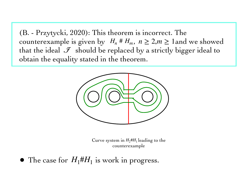(B. - Przytycki, 2020): This theorem is incorrect. The counterexample is given by  $H_n \# H_m$ ,  $n \geq 2, m \geq 1$  and we showed that the ideal  $\mathscr F$  should be replaced by a strictly bigger ideal to obtain the equality stated in the theorem.



Curve system in  $H_2$ # $H_1$  leading to the counterexample

• The case for  $H_1$ # $H_1$  is work in progress.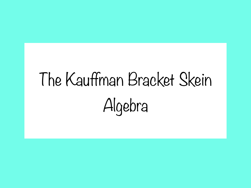# The Kauffman Bracket Skein Algebra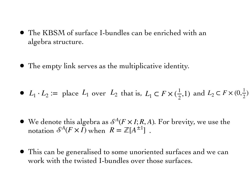- The KBSM of surface I-bundles can be enriched with an algebra structure.
- The empty link serves as the multiplicative identity.

• 
$$
L_1 \cdot L_2 := \text{place } L_1 \text{ over } L_2 \text{ that is, } L_1 \subset F \times (\frac{1}{2}, 1) \text{ and } L_2 \subset F \times (0, \frac{1}{2})
$$

- We denote this algebra as  $S^A(F \times I; R, A)$ . For brevity, we use the notation  $S^A(F \times I)$  when  $R = \mathbb{Z}[A^{\pm 1}]$ .
- This can be generalised to some unoriented surfaces and we can work with the twisted I-bundles over those surfaces.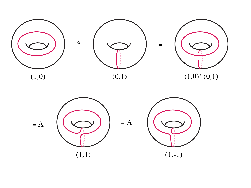

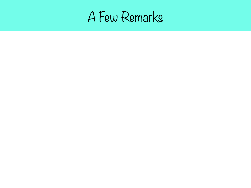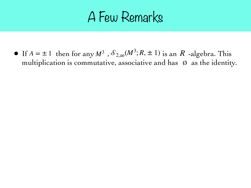#### A Few Remarks

• If  $A = \pm 1$  then for any  $M^3$ ,  $S_{2,\infty}(M^3; R, \pm 1)$  is an  $R$  -algebra. This multiplication is commutative, associative and has  $\emptyset$  as the identity.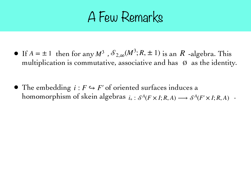#### A Few Remarks

- If  $A = \pm 1$  then for any  $M^3$ ,  $S_{2,\infty}(M^3; R, \pm 1)$  is an  $R$  -algebra. This multiplication is commutative, associative and has  $\emptyset$  as the identity.
- $\bullet$  The embedding  $i: F \hookrightarrow F'$  of oriented surfaces induces a homomorphism of skein algebras  $i_*: \mathcal{S}^A(F \times I; R, A) \longrightarrow \mathcal{S}^A(F' \times I; R, A)$ .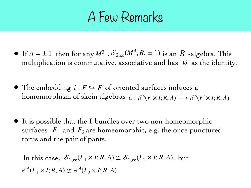#### A Few Remarks

- If  $A = \pm 1$  then for any  $M^3$ ,  $S_{2,\infty}(M^3; R, \pm 1)$  is an  $R$  -algebra. This multiplication is commutative, associative and has  $\emptyset$  as the identity.
- $\bullet$  The embedding  $i: F \hookrightarrow F'$  of oriented surfaces induces a homomorphism of skein algebras  $i_*: \mathcal{S}^A(F \times I; R, A) \longrightarrow \mathcal{S}^A(F' \times I; R, A)$ .
- It is possible that the I-bundles over two non-homeomorphic surfaces  $F_1$  and  $F_2$  are homeomorphic, e.g. the once punctured torus and the pair of pants.

In this case,  $S_{2,\infty}(F_1 \times I; R, A) \cong S_{2,\infty}(F_2 \times I; R, A)$ , but  $S^{A}(F_{1} \times I; R, A) \not\cong S^{A}(F_{2} \times I; R, A)$ .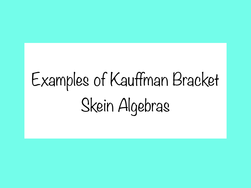# Examples of Kauffman Bracket Skein Algebras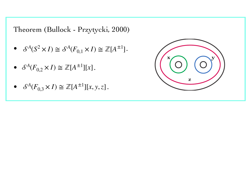- $S^A(S^2 \times I) \cong S^A(F_{0,1} \times I) \cong \mathbb{Z}[A^{\pm 1}].$
- $S^{A}(F_{0,2} \times I) \cong \mathbb{Z}[A^{\pm 1}][x].$
- $S^{A}(F_{0,3} \times I) \cong \mathbb{Z}[A^{\pm 1}][x, y, z].$

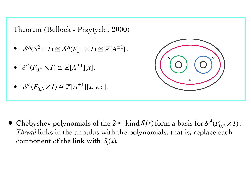- $S^A(S^2 \times I) \cong S^A(F_{0,1} \times I) \cong \mathbb{Z}[A^{\pm 1}].$
- $S^{A}(F_{0,2} \times I) \cong \mathbb{Z}[A^{\pm 1}][x].$
- $S^{A}(F_{0,3} \times I) \cong \mathbb{Z}[A^{\pm 1}][x, y, z].$



• Chebyshev polynomials of the 2<sup>nd</sup> kind  $S_i(x)$  form a basis for  $S^A(F_{0,2} \times I)$ . *Thread* links in the annulus with the polynomials, that is, replace each component of the link with  $S_i(x)$ .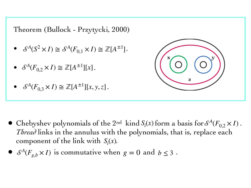- $S^A(S^2 \times I) \cong S^A(F_{0,1} \times I) \cong \mathbb{Z}[A^{\pm 1}].$
- $S^{A}(F_{0,2} \times I) \cong \mathbb{Z}[A^{\pm 1}][x].$
- $S^{A}(F_{0,3} \times I) \cong \mathbb{Z}[A^{\pm 1}][x, y, z].$



- Chebyshev polynomials of the 2<sup>nd</sup> kind  $S_i(x)$  form a basis for  $S^A(F_{0,2} \times I)$ . *Thread* links in the annulus with the polynomials, that is, replace each component of the link with  $S_i(x)$ .
- $S^{A}(F_{g,h} \times I)$  is commutative when  $g = 0$  and  $b \leq 3$ .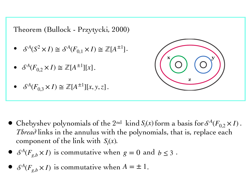- $S^A(S^2 \times I) \cong S^A(F_{0,1} \times I) \cong \mathbb{Z}[A^{\pm 1}].$
- $S^{A}(F_{0,2} \times I) \cong \mathbb{Z}[A^{\pm 1}][x].$
- $S^{A}(F_{0,3} \times I) \cong \mathbb{Z}[A^{\pm 1}][x, y, z].$



- Chebyshev polynomials of the 2<sup>nd</sup> kind  $S_i(x)$  form a basis for  $S^A(F_{0,2} \times I)$ . *Thread* links in the annulus with the polynomials, that is, replace each component of the link with  $S_i(x)$ .
- $S^A(F_{g,b} \times I)$  is commutative when  $g = 0$  and  $b \leq 3$ .
- $S^{A}(F_{g,b} \times I)$  is commutative when  $A = \pm 1$ .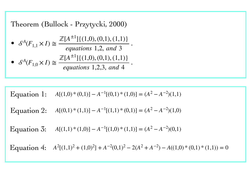• 
$$
S^A(F_{1,1} \times I) \cong \frac{\mathbb{Z}[A^{\pm 1}]\{(1,0), (0,1), (1,1)\}}{equations 1,2, and 3}
$$
.  
\n•  $S^A(F_{1,0} \times I) \cong \frac{\mathbb{Z}[A^{\pm 1}]\{(1,0), (0,1), (1,1)\}}{equations 1,2,3, and 4}$ .

 $\text{Equation 1:} \quad A[(1,0)*(0,1)] - A^{-1}[(0,1)*(1,0)] = (A^2 - A^{-2})(1,1)$  $\text{Equation 2:} \quad A[(0,1)*(1,1)] - A^{-1}[(1,1)*(0,1)] = (A^2 - A^{-2})(1,0)$ Equation 3:  $A[(1,1)*(1,0)] - A^{-1}[(1,0)*(1,1)] = (A^2 - A^{-2})(0,1)$ Equation 4:  $A^2[(1,1)^2 + (1,0)^2] + A^{-2}(0,1)^2 - 2(A^2 + A^{-2}) - A((1,0)^* (0,1)^* (1,1)) = 0$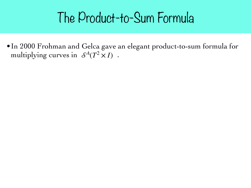•In 2000 Frohman and Gelca gave an elegant product-to-sum formula for multiplying curves in  $S^A(T^2 \times I)$ .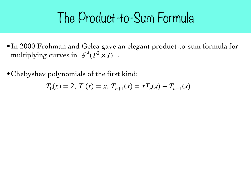- •In 2000 Frohman and Gelca gave an elegant product-to-sum formula for multiplying curves in  $S^A(T^2 \times I)$ .
- •Chebyshev polynomials of the first kind:

$$
T_0(x) = 2
$$
,  $T_1(x) = x$ ,  $T_{n+1}(x) = xT_n(x) - T_{n-1}(x)$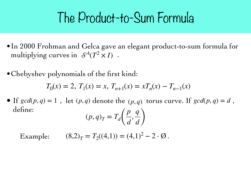- In 2000 Frohman and Gelca gave an elegant product-to-sum formula for multiplying curves in  $S^A(T^2 \times I)$ .
- •Chebyshev polynomials of the first kind:

$$
T_0(x) = 2
$$
,  $T_1(x) = x$ ,  $T_{n+1}(x) = xT_n(x) - T_{n-1}(x)$ 

• If  $gcd(p, q) = 1$ , let  $(p, q)$  denote the  $(p, q)$  torus curve. If  $gcd(p, q) = d$ , define:  $(p, q)_T = T_d$ *p d* , *q d* )

Example:  $(8,2)_T = T_2((4,1)) = (4,1)^2 - 2 \cdot \emptyset$ .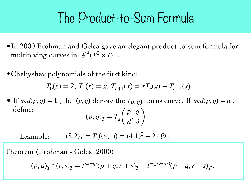- In 2000 Frohman and Gelca gave an elegant product-to-sum formula for multiplying curves in  $S^A(T^2 \times I)$ .
- •Chebyshev polynomials of the first kind:

$$
T_0(x) = 2
$$
,  $T_1(x) = x$ ,  $T_{n+1}(x) = xT_n(x) - T_{n-1}(x)$ 

• If  $gcd(p, q) = 1$ , let  $(p, q)$  denote the  $(p, q)$  torus curve. If  $gcd(p, q) = d$ , define:  $(p, q)_T = T_d$ *p d* , *q d* )

Example:  $(8,2)_T = T_2((4,1)) = (4,1)^2 - 2 \cdot \emptyset$ .

Theorem (Frohman - Gelca, 2000)

$$
(p,q)_T * (r,s)_T = t^{ps-qr}(p+q,r+s)_T + t^{-(ps-qr)}(p-q,r-s)_T.
$$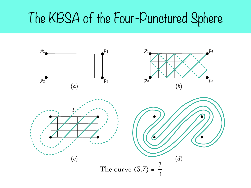#### The KBSA of the Four-Punctured Sphere

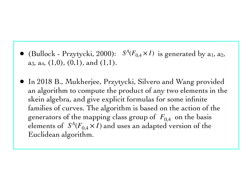- (Bullock Przytycki, 2000):  $S^A(F_{0,4} \times I)$  is generated by a<sub>1</sub>, a<sub>2</sub>, a<sub>3</sub>, a<sub>4</sub>,  $(1,0)$ ,  $(0,1)$ , and  $(1,1)$ .
- In 2018 B., Mukherjee, Przytycki, Silvero and Wang provided an algorithm to compute the product of any two elements in the skein algebra, and give explicit formulas for some infinite families of curves. The algorithm is based on the action of the generators of the mapping class group of  $F_{0,4}$  on the basis elements of  $S^A(F_{0,4} \times I)$  and uses an adapted version of the Euclidean algorithm.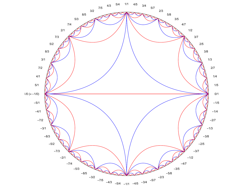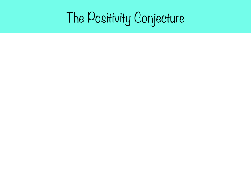## The Positivity Conjecture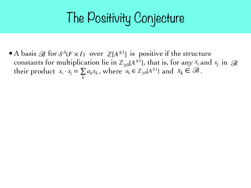# The Positivity Conjecture

• A basis  $\mathcal{B}$  for  $S^A(F \times I)$  over  $\mathbb{Z}[A^{\pm 1}]$  is positive if the structure constants for multiplication lie in  $\mathbb{Z}_{\geq 0}[A^{\pm 1}]$ , that is, for any  $x_i$  and  $x_j$  in  $\mathscr{B}$ their product  $x_i \cdot x_j = \sum a_k x_k$ , where  $a_k \in \mathbb{Z}_{\geq 0}[A^{\pm 1}]$  and  $x_k \in \mathcal{B}$ . *k*  $a_k^{\phantom{\dagger}} x_k^{\phantom{\dagger}}$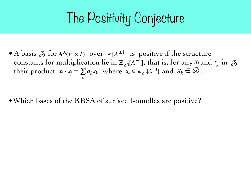## The Positivity Conjecture

- A basis  $\mathcal{B}$  for  $S^A(F \times I)$  over  $\mathbb{Z}[A^{\pm 1}]$  is positive if the structure constants for multiplication lie in  $\mathbb{Z}_{\geq 0}[A^{\pm 1}]$ , that is, for any  $x_i$  and  $x_j$  in  $\mathscr{B}$ their product  $x_i \cdot x_j = \sum a_k x_k$ , where  $a_k \in \mathbb{Z}_{\geq 0}[A^{\pm 1}]$  and  $x_k \in \mathcal{B}$ . *k*  $a_k^{\phantom{\dagger}} x_k^{\phantom{\dagger}}$
- Which bases of the KBSA of surface I-bundles are positive?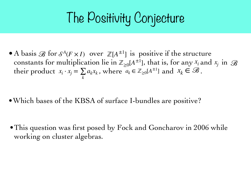## The Positivity Conjecture

- A basis  $\mathcal{B}$  for  $S^A(F \times I)$  over  $\mathbb{Z}[A^{\pm 1}]$  is positive if the structure constants for multiplication lie in  $\mathbb{Z}_{\geq 0}[A^{\pm 1}]$ , that is, for any  $x_i$  and  $x_j$  in  $\mathscr{B}$ their product  $x_i \cdot x_j = \sum a_k x_k$ , where  $a_k \in \mathbb{Z}_{\geq 0}[A^{\pm 1}]$  and  $x_k \in \mathcal{B}$ . *k*  $a_k^{\phantom{\dagger}} x_k^{\phantom{\dagger}}$
- Which bases of the KBSA of surface I-bundles are positive?
- This question was first posed by Fock and Goncharov in 2006 while working on cluster algebras.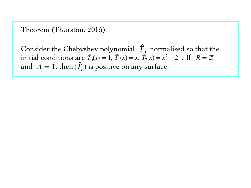Theorem (Thurston, 2015)

Consider the Chebyshev polynomial  $\hat{T}_n$  normalised so that the initial conditions are  $\hat{T}_0(x) = 1$ ,  $\hat{T}_1(x) = x$ ,  $\hat{T}_2(x) = x^2 - 2$ . If  $R = \mathbb{Z}$ and  $A = 1$ , then  $(\hat{T}_n)$  is positive on any surface. ̂ ̂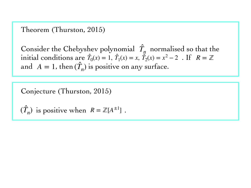Theorem (Thurston, 2015)

Consider the Chebyshev polynomial  $\hat{T}_n$  normalised so that the initial conditions are  $\hat{T}_0(x) = 1$ ,  $\hat{T}_1(x) = x$ ,  $\hat{T}_2(x) = x^2 - 2$ . If  $R = \mathbb{Z}$ and  $A = 1$ , then  $(\hat{T}_n)$  is positive on any surface. ̂ ̂

Conjecture (Thurston, 2015)

 $(\hat{T}_n)$  is positive when  $R = \mathbb{Z}[A^{\pm 1}]$ . ̂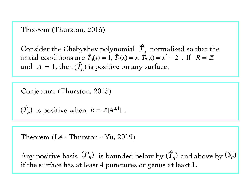Theorem (Thurston, 2015)

Consider the Chebyshev polynomial  $\hat{T}_n$  normalised so that the initial conditions are  $\hat{T}_0(x) = 1$ ,  $\hat{T}_1(x) = x$ ,  $\hat{T}_2(x) = x^2 - 2$ . If  $R = \mathbb{Z}$ and  $A = 1$ , then  $(\hat{T}_n)$  is positive on any surface. ̂ ̂

Conjecture (Thurston, 2015)

Ξ

 $(\hat{T}_n)$  is positive when  $R = \mathbb{Z}[A^{\pm 1}]$ . ̂

Theorem (Lé - Thurston - Yu, 2019)

Any positive basis  $(P_n)$  is bounded below by  $(\hat{T}_n)$  and above by  $(S_n)$ if the surface has at least 4 punctures or genus at least 1. ̂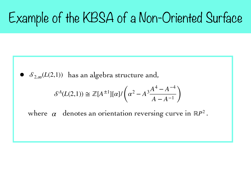#### Example of the KBSA of a Non-Oriented Surface

●  $S_{2,\infty}(L(2,1))$  has an algebra structure and,

$$
\mathcal{S}^A(L(2,1)) \cong \mathbb{Z}[A^{\pm 1}][\alpha]/\left(\alpha^2 - A^3 \frac{A^4 - A^{-4}}{A - A^{-1}}\right)
$$

where  $\alpha$  denotes an orientation reversing curve in  $\mathbb{R}P^2$ .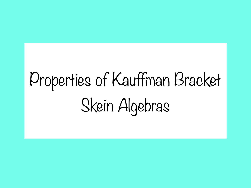# Properties of Kauffman Bracket Skein Algebras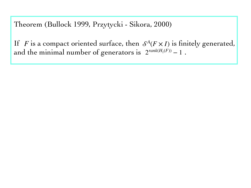Theorem (Bullock 1999, Przytycki - Sikora, 2000)

If *F* is a compact oriented surface, then  $S^A(F \times I)$  is finitely generated, and the minimal number of generators is  $2^{rank(H_1(F))} - 1$ .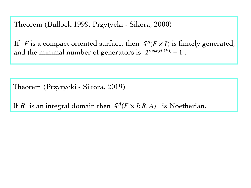Theorem (Bullock 1999, Przytycki - Sikora, 2000)

If *F* is a compact oriented surface, then  $S^A(F \times I)$  is finitely generated, and the minimal number of generators is  $2^{rank(H_1(F))} - 1$ .

Theorem (Przytycki - Sikora, 2019)

If *R* is an integral domain then  $S^A(F \times I; R, A)$  is Noetherian.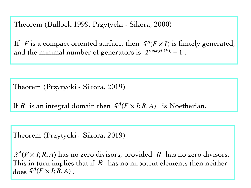Theorem (Bullock 1999, Przytycki - Sikora, 2000)

If *F* is a compact oriented surface, then  $S^A(F \times I)$  is finitely generated, and the minimal number of generators is  $2^{rank(H_1(F))} - 1$ .

Theorem (Przytycki - Sikora, 2019)

If R is an integral domain then  $S^A(F \times I; R, A)$  is Noetherian.

Theorem (Przytycki - Sikora, 2019)

 $S^{A}(F \times I; R, A)$  has no zero divisors, provided R has no zero divisors. This in turn implies that if  $R$  has no nilpotent elements then neither  $\cos^{A}(F \times I; \overline{R}, A)$ .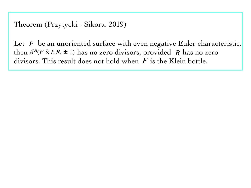Theorem (Przytycki - Sikora, 2019)

Let  $F$  be an unoriented surface with even negative Euler characteristic, then  $\mathcal{S}^A(F \times I; R, \pm 1)$  has no zero divisors, provided  $R$  has no zero divisors. This result does not hold when  $F$  is the Klein bottle.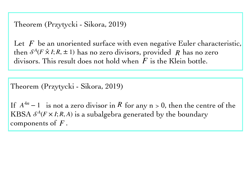Theorem (Przytycki - Sikora, 2019)

Let  $F$  be an unoriented surface with even negative Euler characteristic, then  $\mathcal{S}^A(F \times I; R, \pm 1)$  has no zero divisors, provided  $R$  has no zero divisors. This result does not hold when  $F$  is the Klein bottle.

Theorem (Przytycki - Sikora, 2019)

If  $A^{4n} - 1$  is not a zero divisor in R for any n > 0, then the centre of the KBSA  $S^A(F \times I; R, A)$  is a subalgebra generated by the boundary components of  $F$  .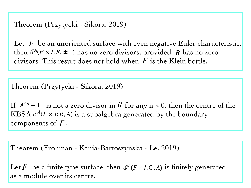Theorem (Przytycki - Sikora, 2019)

Let  $F$  be an unoriented surface with even negative Euler characteristic, then  $\mathcal{S}^A(F \times I; R, \pm 1)$  has no zero divisors, provided  $R$  has no zero divisors. This result does not hold when  $F$  is the Klein bottle.

Theorem (Przytycki - Sikora, 2019)

If  $A^{4n} - 1$  is not a zero divisor in R for any n > 0, then the centre of the KBSA  $S^A(F \times I; R, A)$  is a subalgebra generated by the boundary components of  $F$  .

Theorem (Frohman - Kania-Bartoszynska - Lé, 2019)

Let F be a finite type surface, then  $S^A(F \times I; \mathbb{C}, A)$  is finitely generated as a module over its centre.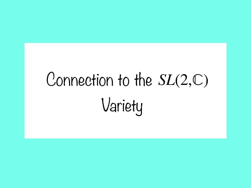# Connection to the *SL*(2,ℂ)Variety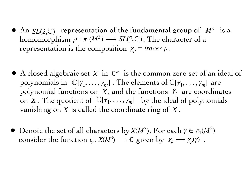- An *SL*(2, ℂ) representation of the fundamental group of  $M^3$  is a  $\homomorphism \rho : \pi_1(M^3) \longrightarrow SL(2, \mathbb{C})$ . The character of a representation is the composition  $\chi_{\rho} = trace \circ \rho$ .
- A closed algebraic set  $X$  in  $\mathbb{C}^m$  is the common zero set of an ideal of polynomials in  $\mathbb{C}[\gamma_1, \ldots, \gamma_m]$ . The elements of  $\mathbb{C}[\gamma_1, \ldots, \gamma_m]$  are polynomial functions on  $X$ , and the functions  $\gamma_i$  are coordinates on X. The quotient of  $\mathbb{C}[\gamma_1, \ldots, \gamma_m]$  by the ideal of polynomials vanishing on  $X$  is called the coordinate ring of  $X$  .
- Denote the set of all characters by  $X(M^3)$ . For each  $\gamma \in \pi_1(M^3)$ consider the function  $t_\gamma : X(M^3) \longrightarrow \mathbb{C}$  given by  $\chi_\rho \longmapsto \chi_\rho(\gamma)$ .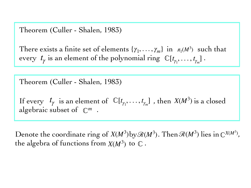Theorem (Culler - Shalen, 1983)

There exists a finite set of elements  $\{\gamma_1, \ldots, \gamma_m\}$  in  $\pi_1(M^3)$  such that every  $t_{\gamma}$  is an element of the polynomial ring  $\mathbb{C}[t_{\gamma_1},...,t_{\gamma_m}]$ .

Theorem (Culler - Shalen, 1983)

If every  $t_{\gamma}$  is an element of  $\mathbb{C}[t_{\gamma_1},...,t_{\gamma_m}]$ , then  $X(M^3)$  is a closed algebraic subset of  $\mathbb{C}^m$ .

Denote the coordinate ring of  $X(M^3)$  by  $\mathcal{R}(M^3)$ . Then  $\mathcal{R}(M^3)$  lies in  $\mathbb{C}^{X(M^3)}$ , the algebra of functions from  $X(M^3)$  to  $\mathbb C$ .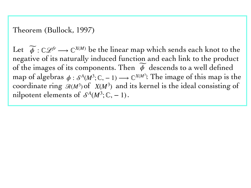Theorem (Bullock, 1997)

Let  $\widetilde{\phi}: \mathbb{C}\mathscr{L}^{\mathfrak{f}r} \longrightarrow \mathbb{C}^{X(M)}$  be the linear map which sends each knot to the negative of its naturally induced function and each link to the product of the images of its components. Then  $\widetilde{\phi}$  descends to a well defined map of algebras  $\phi: \mathcal{S}^A(M^3; \mathbb{C}, -1) \longrightarrow \mathbb{C}^{X(M^3)}$ . The image of this map is the coordinate ring  $\mathcal{R}(M^3)$  of  $X(M^3)$  and its kernel is the ideal consisting of nilpotent elements of  $S^A(M^3; \mathbb{C}, -1)$ .